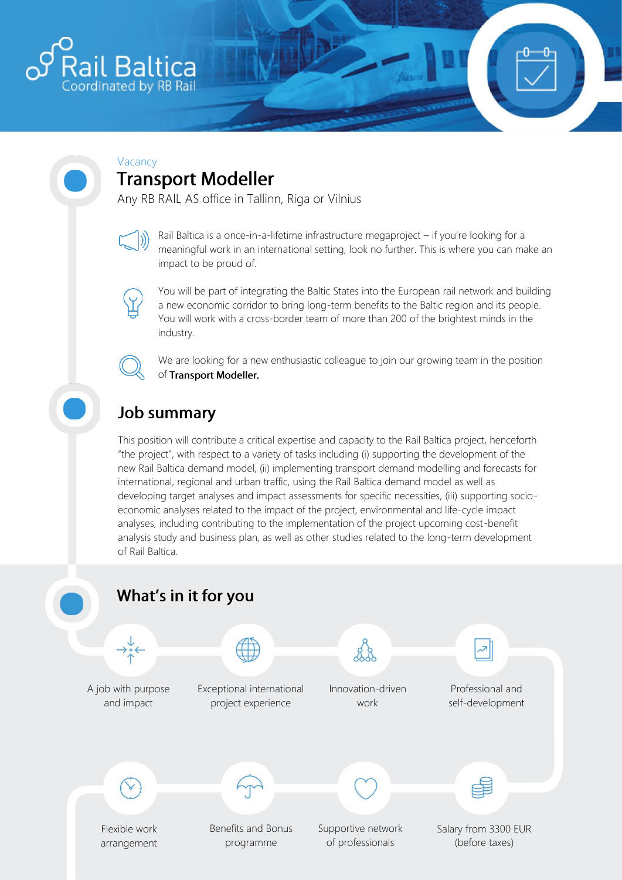

#### Vacancy **Transport Modeller**

Any RB RAIL AS office in Tallinn, Riga or Vilnius

Rail Baltica is a once-in-a-lifetime infrastructure megaproject – if you're looking for a meaningful work in an international setting, look no further. This is where you can make an impact to be proud of.

You will be part of integrating the Baltic States into the European rail network and building a new economic corridor to bring long-term benefits to the Baltic region and its people. You will work with a cross-border team of more than 200 of the brightest minds in the industry.

We are looking for a new enthusiastic colleague to join our growing team in the position of Transport Modeller.

# **Job summary**

This position will contribute a critical expertise and capacity to the Rail Baltica project, henceforth "the project", with respect to a variety of tasks including (i) supporting the development of the new Rail Baltica demand model, (ii) implementing transport demand modelling and forecasts for international, regional and urban traffic, using the Rail Baltica demand model as well as developing target analyses and impact assessments for specific necessities, (iii) supporting socioeconomic analyses related to the impact of the project, environmental and life-cycle impact analyses, including contributing to the implementation of the project upcoming cost-benefit analysis study and business plan, as well as other studies related to the long-term development of Rail Baltica.